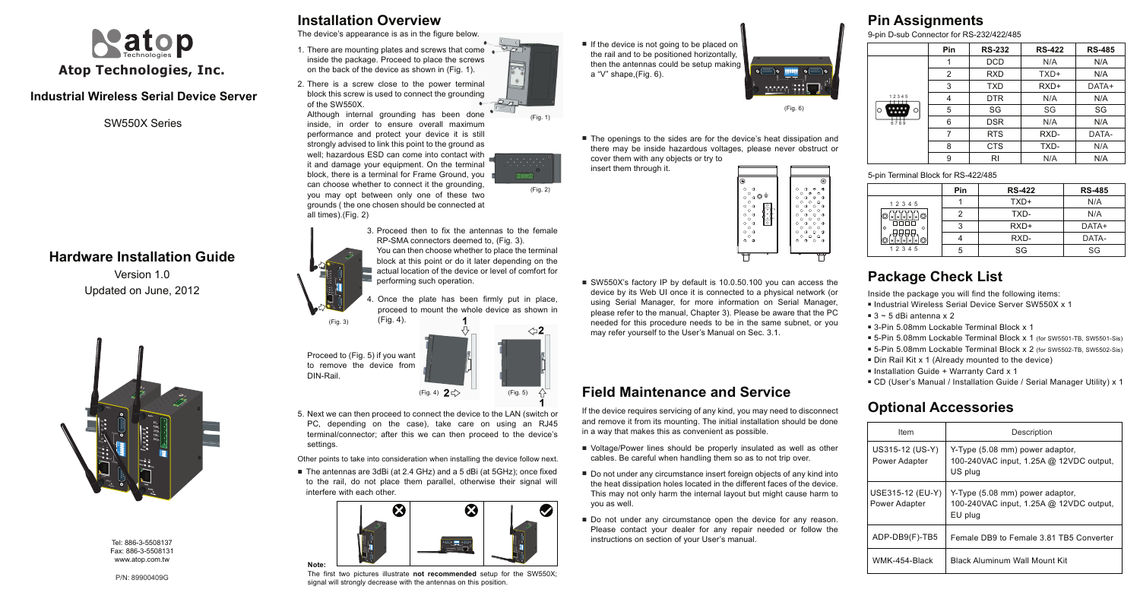### **Industrial Wireless Serial Device Server**

Version 1.0 Updated on June, 2012

## **Hardware Installation Guide**

Tel: 886-3-5508137 Fax: 886-3-5508131 www.atop.com.tw



SW550X Series

# **Installation Overview**

**Field Maintenance and Service**

The device's appearance is as in the figure below.

5. Next we can then proceed to connect the device to the LAN (switch or PC, depending on the case), take care on using an RJ45 terminal/connector; after this we can then proceed to the device's settings.

■ The antennas are 3dBi (at 2.4 GHz) and a 5 dBi (at 5GHz); once fixed to the rail, do not place them parallel, otherwise their signal will interfere with each other.

The first two pictures illustrate **not recommended** setup for the SW550X; signal will strongly decrease with the antennas on this position.

Other points to take into consideration when installing the device follow next.

- 3. Proceed then to fix the antennas to the female RP-SMA connectors deemed to, (Fig. 3). You can then choose whether to place the terminal block at this point or do it later depending on the actual location of the device or level of comfort for performing such operation.
- Once the plate has been firmly put in place, 4. proceed to mount the whole device as shown in (Fig. 4).

■ If the device is not going to be placed on the rail and to be positioned horizontally, then the antennas could be setup making a "V" shape,(Fig. 6).

**Note:** 

■ The openings to the sides are for the device's heat dissipation and there may be inside hazardous voltages, please never obstruct or cover them with any objects or try to

■ SW550X's factory IP by default is 10.0.50.100 you can access the device by its Web UI once it is connected to a physical network (or using Serial Manager, for more information on Serial Manager, please refer to the manual, Chapter 3). Please be aware that the PC needed for this procedure needs to be in the same subnet, or you may refer yourself to the User's Manual on Sec. 3.1.

■ Voltage/Power lines should be properly insulated as well as other cables. Be careful when handling them so as to not trip over.

(Fig. 3)

(Fig. 2)

■ Do not under any circumstance insert foreign objects of any kind into the heat dissipation holes located in the different faces of the device. This may not only harm the internal layout but might cause harm to

■ Do not under any circumstance open the device for any reason. Please contact your dealer for any repair needed or follow the instructions on section of your User's manual.

Proceed to (Fig. 5) if you want to remove the device from DIN-Rail.

- 1. There are mounting plates and screws that come inside the package. Proceed to place the screws on the back of the device as shown in (Fig. 1).
- 2. There is a screw close to the power terminal block this screw is used to connect the grounding of the SW550X.

- Inside the package you will find the following items:
- Industrial Wireless Serial Device Server SW550X x 1
- $\blacksquare$  3 ~ 5 dBi antenna x 2
- 3-Pin 5.08mm Lockable Terminal Block x 1
- Installation Guide + Warranty Card x 1
- CD (User's Manual / Installation Guide / Serial Manager Utility) x 1

insert them through it.

- 5-Pin 5.08mm Lockable Terminal Block x 1 (for SW5501-TB, SW5501-Sis) ■ 5-Pin 5.08mm Lockable Terminal Block x 2 (for SW5502-TB, SW5502-Sis)
- Din Rail Kit x 1 (Already mounted to the device)
- 

If the device requires servicing of any kind, you may need to disconnect and remove it from its mounting. The initial installation should be done

in a way that makes this as convenient as possible.

you as well.



Although internal grounding has been done inside, in order to ensure overall maximum performance and protect your device it is still strongly advised to link this point to the ground as well; hazardous ESD can come into contact with it and damage your equipment. On the terminal block, there is a terminal for Frame Ground, you can choose whether to connect it the grounding, you may opt between only one of these two grounds ( the one chosen should be connected at all times).(Fig. 2)



# **Package Check List**

### **Optional Accessories**

### **Pin Assignments** 9-pin D-sub Connector for RS-232/422/485

| Item                              | Description                                                                           |
|-----------------------------------|---------------------------------------------------------------------------------------|
| US315-12 (US-Y)<br>Power Adapter  | Y-Type (5.08 mm) power adaptor,<br>100-240VAC input, 1.25A @ 12VDC output,<br>US plug |
| USE315-12 (EU-Y)<br>Power Adapter | Y-Type (5.08 mm) power adaptor,<br>100-240VAC input, 1.25A @ 12VDC output,<br>EU plug |
| ADP-DB9(F)-TB5                    | Female DB9 to Female 3.81 TB5 Converter                                               |
| WMK-454-Black                     | <b>Black Aluminum Wall Mount Kit</b>                                                  |

5-pin Terminal Block for RS-422/485

|              | Pin | <b>RS-422</b> | <b>RS-485</b> |
|--------------|-----|---------------|---------------|
| 12345        |     | TXD+          | N/A           |
| ⊪∘∣©⊟        | っ   | TXD-          | N/A           |
| $\circ$<br>∩ | 3   | $RXD+$        | DATA+         |
|              |     | RXD-          | DATA-         |
| 1 2 3 4 5    | 5   | SG            | SG            |

|        | <b>Pin</b> | <b>RS-232</b> | <b>RS-422</b> | <b>RS-485</b> |
|--------|------------|---------------|---------------|---------------|
|        |            | <b>DCD</b>    | N/A           | N/A           |
|        | 2          | <b>RXD</b>    | TXD+          | N/A           |
|        | 3          | <b>TXD</b>    | $RXD+$        | DATA+         |
| 5<br>Ω | 4          | <b>DTR</b>    | N/A           | N/A           |
|        | 5          | SG            | SG            | SG            |
|        | 6          | <b>DSR</b>    | N/A           | N/A           |
|        | 7          | <b>RTS</b>    | RXD-          | DATA-         |
|        | 8          | <b>CTS</b>    | TXD-          | N/A           |
|        | 9          | RI            | N/A           | N/A           |









 $(Fia \n6)$